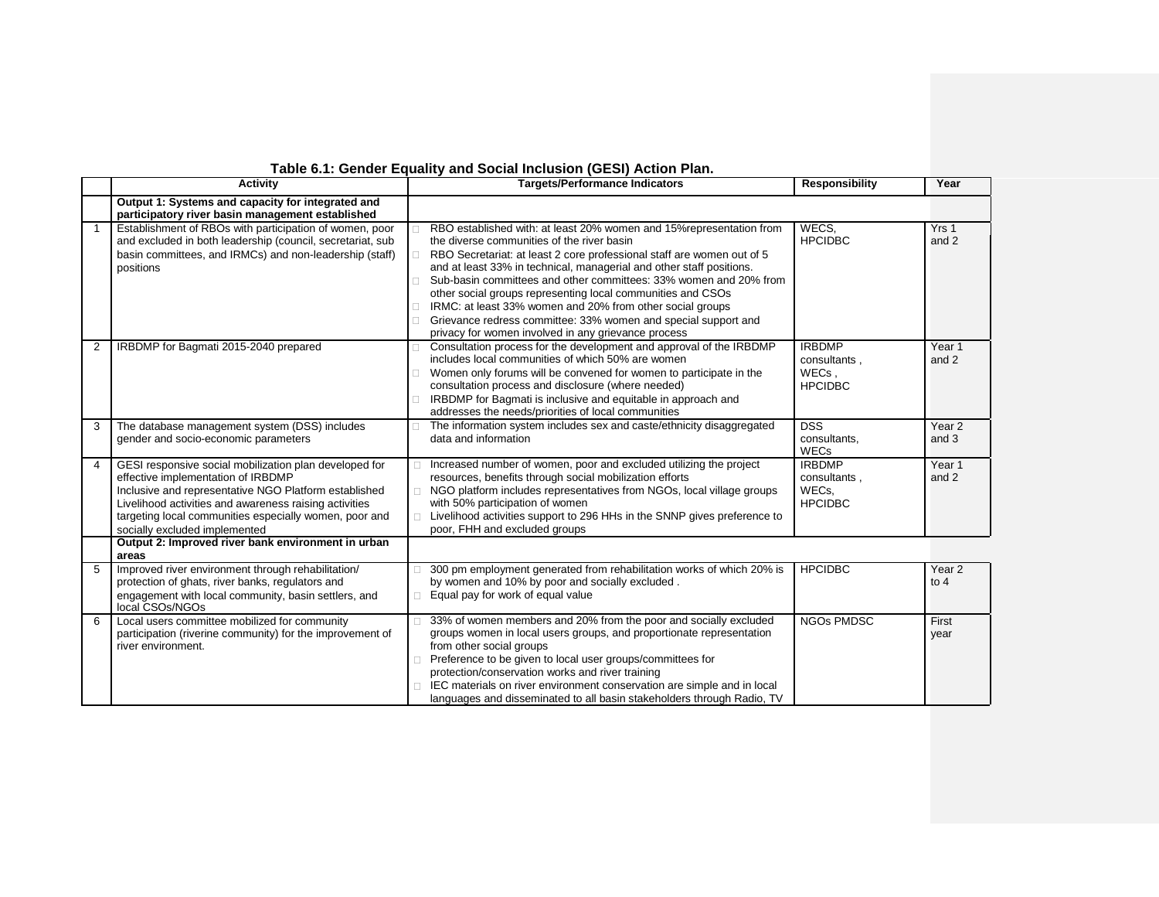## **Table 6.1: Gender Equality and Social Inclusion (GESI) Action Plan.**

|   | <b>Activity</b>                                                                                                                                                                                                                                                                                            | <b>Targets/Performance Indicators</b>                                                                                                                                                                                                                                                                                                                                                                                                                                                                                                                                                                    | <b>Responsibility</b>                                    | Year                        |
|---|------------------------------------------------------------------------------------------------------------------------------------------------------------------------------------------------------------------------------------------------------------------------------------------------------------|----------------------------------------------------------------------------------------------------------------------------------------------------------------------------------------------------------------------------------------------------------------------------------------------------------------------------------------------------------------------------------------------------------------------------------------------------------------------------------------------------------------------------------------------------------------------------------------------------------|----------------------------------------------------------|-----------------------------|
|   | Output 1: Systems and capacity for integrated and<br>participatory river basin management established                                                                                                                                                                                                      |                                                                                                                                                                                                                                                                                                                                                                                                                                                                                                                                                                                                          |                                                          |                             |
|   | Establishment of RBOs with participation of women, poor<br>and excluded in both leadership (council, secretariat, sub<br>basin committees, and IRMCs) and non-leadership (staff)<br>positions                                                                                                              | RBO established with: at least 20% women and 15% representation from<br>the diverse communities of the river basin<br>RBO Secretariat: at least 2 core professional staff are women out of 5<br>and at least 33% in technical, managerial and other staff positions.<br>Sub-basin committees and other committees: 33% women and 20% from<br>П<br>other social groups representing local communities and CSOs<br>IRMC: at least 33% women and 20% from other social groups<br>Grievance redress committee: 33% women and special support and<br>П<br>privacy for women involved in any grievance process | WECS.<br><b>HPCIDBC</b>                                  | Yrs 1<br>and 2              |
| 2 | IRBDMP for Bagmati 2015-2040 prepared                                                                                                                                                                                                                                                                      | Consultation process for the development and approval of the IRBDMP<br>□<br>includes local communities of which 50% are women<br>Women only forums will be convened for women to participate in the<br>consultation process and disclosure (where needed)<br>IRBDMP for Bagmati is inclusive and equitable in approach and<br>П<br>addresses the needs/priorities of local communities                                                                                                                                                                                                                   | <b>IRBDMP</b><br>consultants,<br>WECs.<br><b>HPCIDBC</b> | Year 1<br>and 2             |
| 3 | The database management system (DSS) includes<br>gender and socio-economic parameters                                                                                                                                                                                                                      | The information system includes sex and caste/ethnicity disaggregated<br>data and information                                                                                                                                                                                                                                                                                                                                                                                                                                                                                                            | <b>DSS</b><br>consultants,<br><b>WECs</b>                | Year <sub>2</sub><br>and 3  |
| 4 | GESI responsive social mobilization plan developed for<br>effective implementation of IRBDMP<br>Inclusive and representative NGO Platform established<br>Livelihood activities and awareness raising activities<br>targeting local communities especially women, poor and<br>socially excluded implemented | Increased number of women, poor and excluded utilizing the project<br>resources, benefits through social mobilization efforts<br>NGO platform includes representatives from NGOs, local village groups<br>$\Box$<br>with 50% participation of women<br>Livelihood activities support to 296 HHs in the SNNP gives preference to<br>$\Box$<br>poor, FHH and excluded groups                                                                                                                                                                                                                               | <b>IRBDMP</b><br>consultants,<br>WECs.<br><b>HPCIDBC</b> | Year <sub>1</sub><br>and 2  |
|   | Output 2: Improved river bank environment in urban<br>areas                                                                                                                                                                                                                                                |                                                                                                                                                                                                                                                                                                                                                                                                                                                                                                                                                                                                          |                                                          |                             |
| 5 | Improved river environment through rehabilitation/<br>protection of ghats, river banks, regulators and<br>engagement with local community, basin settlers, and<br>local CSOs/NGOs                                                                                                                          | 300 pm employment generated from rehabilitation works of which 20% is<br>by women and 10% by poor and socially excluded.<br>Equal pay for work of equal value<br>П                                                                                                                                                                                                                                                                                                                                                                                                                                       | <b>HPCIDBC</b>                                           | Year <sub>2</sub><br>to $4$ |
| 6 | Local users committee mobilized for community<br>participation (riverine community) for the improvement of<br>river environment.                                                                                                                                                                           | 33% of women members and 20% from the poor and socially excluded<br>groups women in local users groups, and proportionate representation<br>from other social groups<br>Preference to be given to local user groups/committees for<br>protection/conservation works and river training<br>IEC materials on river environment conservation are simple and in local<br>languages and disseminated to all basin stakeholders through Radio, TV                                                                                                                                                              | <b>NGOs PMDSC</b>                                        | First<br>year               |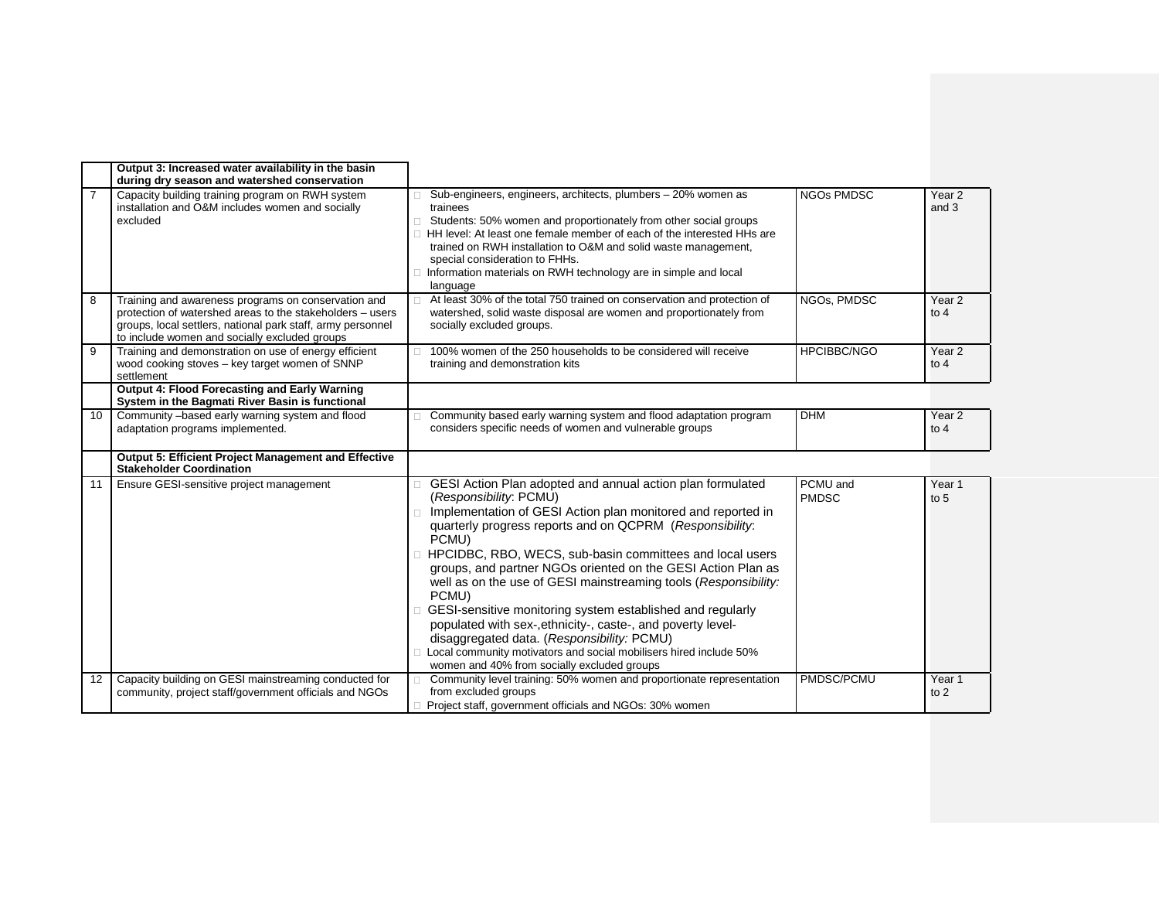|                | Output 3: Increased water availability in the basin<br>during dry season and watershed conservation                                                                                                                              |                                                                                                                                                                                                                                                                                                                                                                                                                                                                                                                                                                                                                                                                                                                                              |                          |                             |
|----------------|----------------------------------------------------------------------------------------------------------------------------------------------------------------------------------------------------------------------------------|----------------------------------------------------------------------------------------------------------------------------------------------------------------------------------------------------------------------------------------------------------------------------------------------------------------------------------------------------------------------------------------------------------------------------------------------------------------------------------------------------------------------------------------------------------------------------------------------------------------------------------------------------------------------------------------------------------------------------------------------|--------------------------|-----------------------------|
| $\overline{7}$ | Capacity building training program on RWH system<br>installation and O&M includes women and socially<br>excluded                                                                                                                 | Sub-engineers, engineers, architects, plumbers - 20% women as<br>trainees<br>Students: 50% women and proportionately from other social groups<br>П<br>HH level: At least one female member of each of the interested HHs are<br>П.<br>trained on RWH installation to O&M and solid waste management,<br>special consideration to FHHs.<br>Information materials on RWH technology are in simple and local<br>language                                                                                                                                                                                                                                                                                                                        | <b>NGOs PMDSC</b>        | Year <sub>2</sub><br>and 3  |
| 8              | Training and awareness programs on conservation and<br>protection of watershed areas to the stakeholders - users<br>groups, local settlers, national park staff, army personnel<br>to include women and socially excluded groups | At least 30% of the total 750 trained on conservation and protection of<br>watershed, solid waste disposal are women and proportionately from<br>socially excluded groups.                                                                                                                                                                                                                                                                                                                                                                                                                                                                                                                                                                   | NGOs, PMDSC              | Year <sub>2</sub><br>to $4$ |
| 9              | Training and demonstration on use of energy efficient<br>wood cooking stoves - key target women of SNNP<br>settlement                                                                                                            | 100% women of the 250 households to be considered will receive<br>training and demonstration kits                                                                                                                                                                                                                                                                                                                                                                                                                                                                                                                                                                                                                                            | <b>HPCIBBC/NGO</b>       | Year <sub>2</sub><br>to $4$ |
|                | <b>Output 4: Flood Forecasting and Early Warning</b><br>System in the Bagmati River Basin is functional                                                                                                                          |                                                                                                                                                                                                                                                                                                                                                                                                                                                                                                                                                                                                                                                                                                                                              |                          |                             |
| 10             | Community -based early warning system and flood<br>adaptation programs implemented.                                                                                                                                              | Community based early warning system and flood adaptation program<br>considers specific needs of women and vulnerable groups                                                                                                                                                                                                                                                                                                                                                                                                                                                                                                                                                                                                                 | <b>DHM</b>               | Year 2<br>to $4$            |
|                | <b>Output 5: Efficient Project Management and Effective</b><br><b>Stakeholder Coordination</b>                                                                                                                                   |                                                                                                                                                                                                                                                                                                                                                                                                                                                                                                                                                                                                                                                                                                                                              |                          |                             |
| 11             | Ensure GESI-sensitive project management                                                                                                                                                                                         | GESI Action Plan adopted and annual action plan formulated<br>(Responsibility: PCMU)<br>Implementation of GESI Action plan monitored and reported in<br>quarterly progress reports and on QCPRM (Responsibility:<br>PCMU)<br>HPCIDBC, RBO, WECS, sub-basin committees and local users<br>П.<br>groups, and partner NGOs oriented on the GESI Action Plan as<br>well as on the use of GESI mainstreaming tools (Responsibility:<br>PCMU)<br>GESI-sensitive monitoring system established and regularly<br>populated with sex-, ethnicity-, caste-, and poverty level-<br>disaggregated data. (Responsibility: PCMU)<br>Local community motivators and social mobilisers hired include 50%<br>П<br>women and 40% from socially excluded groups | PCMU and<br><b>PMDSC</b> | Year 1<br>to 5              |
| 12             | Capacity building on GESI mainstreaming conducted for<br>community, project staff/government officials and NGOs                                                                                                                  | Community level training: 50% women and proportionate representation<br>$\Box$<br>from excluded groups<br>Project staff, government officials and NGOs: 30% women                                                                                                                                                                                                                                                                                                                                                                                                                                                                                                                                                                            | PMDSC/PCMU               | Year 1<br>to $2$            |